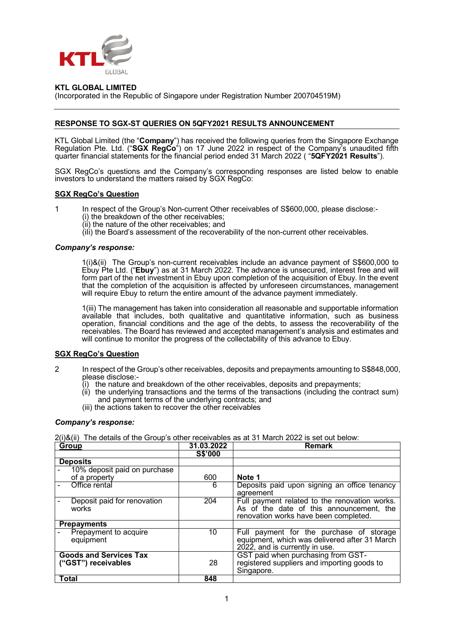

## **KTL GLOBAL LIMITED**

(Incorporated in the Republic of Singapore under Registration Number 200704519M)

## **RESPONSE TO SGX-ST QUERIES ON 5QFY2021 RESULTS ANNOUNCEMENT**

KTL Global Limited (the "**Company**") has received the following queries from the Singapore Exchange Regulation Pte. Ltd. ("**SGX RegCo**") on 17 June 2022 in respect of the Company's unaudited fifth quarter financial statements for the financial period ended 31 March 2022 ( "**5QFY2021 Results**").

SGX RegCo's questions and the Company's corresponding responses are listed below to enable investors to understand the matters raised by SGX RegCo:

### **SGX RegCo's Question**

- 1 In respect of the Group's Non-current Other receivables of S\$600,000, please disclose:-
	- (i) the breakdown of the other receivables;
	- (ii) the nature of the other receivables; and
	- $\lim_{h \to 0}$  (iii) the Board's assessment of the recoverability of the non-current other receivables.

#### *Company's response:*

1(i)&(ii) The Group's non-current receivables include an advance payment of S\$600,000 to Ebuy Pte Ltd. ("**Ebuy**") as at 31 March 2022. The advance is unsecured, interest free and will form part of the net investment in Ebuy upon completion of the acquisition of Ebuy. In the event that the completion of the acquisition is affected by unforeseen circumstances, management will require Ebuy to return the entire amount of the advance payment immediately.

1(iii) The management has taken into consideration all reasonable and supportable information available that includes, both qualitative and quantitative information, such as business operation, financial conditions and the age of the debts, to assess the recoverability of the receivables. The Board has reviewed and accepted management's analysis and estimates and will continue to monitor the progress of the collectability of this advance to Ebuy.

### **SGX RegCo's Question**

- 2 In respect of the Group's other receivables, deposits and prepayments amounting to S\$848,000, please disclose:-
	- $(i)$  the nature and breakdown of the other receivables, deposits and prepayments;
	- (ii) the underlying transactions and the terms of the transactions (including the contract sum) and payment terms of the underlying contracts; and
	- (iii) the actions taken to recover the other receivables

### *Company's response:*

2(i)&(ii) The details of the Group's other receivables as at 31 March 2022 is set out below:

| Group                                                | 31.03.2022     | <b>Remark</b>                                                                                                                      |
|------------------------------------------------------|----------------|------------------------------------------------------------------------------------------------------------------------------------|
|                                                      | <b>S\$'000</b> |                                                                                                                                    |
| <b>Deposits</b>                                      |                |                                                                                                                                    |
| 10% deposit paid on purchase                         |                |                                                                                                                                    |
| of a property                                        | 600            | Note 1                                                                                                                             |
| Office rental                                        | 6              | Deposits paid upon signing an office tenancy<br>agreement                                                                          |
| Deposit paid for renovation<br>works                 | 204            | Full payment related to the renovation works.<br>As of the date of this announcement, the<br>renovation works have been completed. |
| <b>Prepayments</b>                                   |                |                                                                                                                                    |
| Prepayment to acquire<br>equipment                   | 10             | Full payment for the purchase of storage<br>equipment, which was delivered after 31 March<br>2022, and is currently in use.        |
| <b>Goods and Services Tax</b><br>("GST") receivables | 28             | GST paid when purchasing from GST-<br>registered suppliers and importing goods to<br>Singapore.                                    |
| Total                                                | 848            |                                                                                                                                    |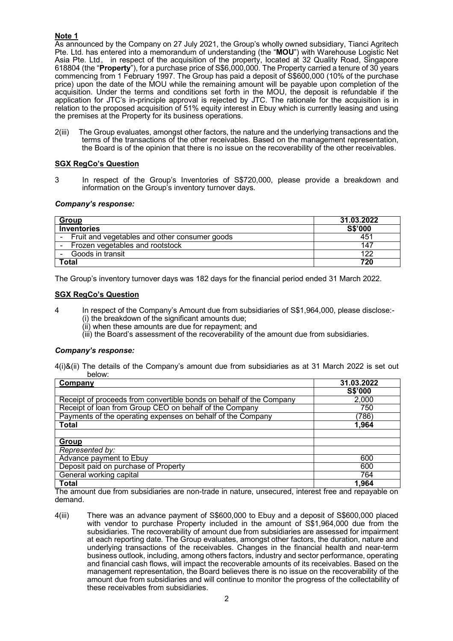# **Note 1**

As announced by the Company on 27 July 2021, the Group's wholly owned subsidiary, Tianci Agritech Pte. Ltd. has entered into a memorandum of understanding (the "**MOU**") with Warehouse Logistic Net Asia Pte. Ltd。 in respect of the acquisition of the property, located at 32 Quality Road, Singapore 618804 (the "**Property**"), for a purchase price of S\$6,000,000. The Property carried a tenure of 30 years commencing from 1 February 1997. The Group has paid a deposit of S\$600,000 (10% of the purchase price) upon the date of the MOU while the remaining amount will be payable upon completion of the acquisition. Under the terms and conditions set forth in the MOU, the deposit is refundable if the application for JTC's in-principle approval is rejected by JTC. The rationale for the acquisition is in relation to the proposed acquisition of 51% equity interest in Ebuy which is currently leasing and using the premises at the Property for its business operations.

2(iii) The Group evaluates, amongst other factors, the nature and the underlying transactions and the terms of the transactions of the other receivables. Based on the management representation, the Board is of the opinion that there is no issue on the recoverability of the other receivables.

# **SGX RegCo's Question**

3 In respect of the Group's Inventories of S\$720,000, please provide a breakdown and information on the Group's inventory turnover days.

# *Company's response:*

| <b>Group</b>                                  | 31.03.2022 |  |
|-----------------------------------------------|------------|--|
| <b>Inventories</b>                            | S\$'000    |  |
| Fruit and vegetables and other consumer goods | 451        |  |
| Frozen vegetables and rootstock               | 147        |  |
| Goods in transit                              | 122        |  |
| Total                                         | 720        |  |

The Group's inventory turnover days was 182 days for the financial period ended 31 March 2022.

## **SGX RegCo's Question**

- 4 In respect of the Company's Amount due from subsidiaries of S\$1,964,000, please disclose:- (i) the breakdown of the significant amounts due;
	- (ii) when these amounts are due for repayment; and
	- (iii) the Board's assessment of the recoverability of the amount due from subsidiaries.

# *Company's response:*

4(i)&(ii) The details of the Company's amount due from subsidiaries as at 31 March 2022 is set out below:

| Company                                                             | 31.03.2022 |
|---------------------------------------------------------------------|------------|
|                                                                     | S\$'000    |
| Receipt of proceeds from convertible bonds on behalf of the Company | 2,000      |
| Receipt of loan from Group CEO on behalf of the Company             | 750        |
| Payments of the operating expenses on behalf of the Company         | (786)      |
| Total                                                               | 1,964      |
|                                                                     |            |
| Group                                                               |            |
| Represented by:                                                     |            |
| Advance payment to Ebuy                                             | 600        |
| Deposit paid on purchase of Property                                | 600        |
| General working capital                                             | 764        |
| <b>Total</b>                                                        | 1,964      |

The amount due from subsidiaries are non-trade in nature, unsecured, interest free and repayable on demand.

4(iii) There was an advance payment of S\$600,000 to Ebuy and a deposit of S\$600,000 placed with vendor to purchase Property included in the amount of S\$1,964,000 due from the subsidiaries. The recoverability of amount due from subsidiaries are assessed for impairment at each reporting date. The Group evaluates, amongst other factors, the duration, nature and underlying transactions of the receivables. Changes in the financial health and near-term business outlook, including, among others factors, industry and sector performance, operating and financial cash flows, will impact the recoverable amounts of its receivables. Based on the management representation, the Board believes there is no issue on the recoverability of the amount due from subsidiaries and will continue to monitor the progress of the collectability of these receivables from subsidiaries.